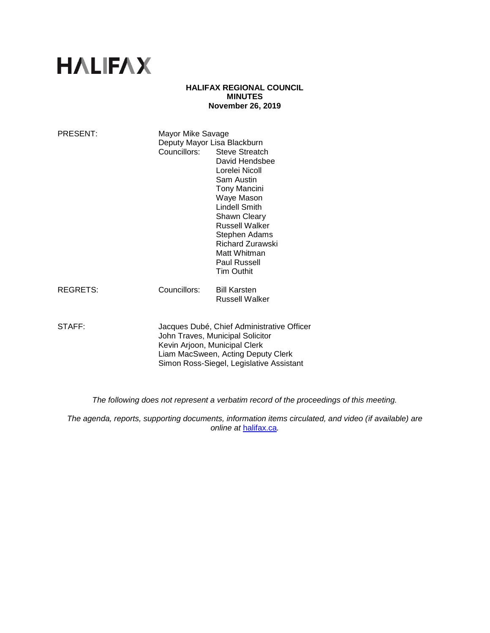# **HALIFAX**

## **HALIFAX REGIONAL COUNCIL MINUTES November 26, 2019**

| PRESENT: | Mayor Mike Savage<br>Deputy Mayor Lisa Blackburn<br>Councillors:                                                                                                                                  | <b>Steve Streatch</b><br>David Hendsbee<br>Lorelei Nicoll<br>Sam Austin<br><b>Tony Mancini</b><br>Waye Mason<br><b>Lindell Smith</b><br>Shawn Cleary<br><b>Russell Walker</b><br>Stephen Adams<br><b>Richard Zurawski</b><br>Matt Whitman<br><b>Paul Russell</b><br><b>Tim Outhit</b> |
|----------|---------------------------------------------------------------------------------------------------------------------------------------------------------------------------------------------------|---------------------------------------------------------------------------------------------------------------------------------------------------------------------------------------------------------------------------------------------------------------------------------------|
| REGRETS: | Councillors:                                                                                                                                                                                      | <b>Bill Karsten</b><br>Russell Walker                                                                                                                                                                                                                                                 |
| STAFF:   | Jacques Dubé, Chief Administrative Officer<br>John Traves, Municipal Solicitor<br>Kevin Arjoon, Municipal Clerk<br>Liam MacSween, Acting Deputy Clerk<br>Simon Ross-Siegel, Legislative Assistant |                                                                                                                                                                                                                                                                                       |

*The following does not represent a verbatim record of the proceedings of this meeting.*

*The agenda, reports, supporting documents, information items circulated, and video (if available) are online at* [halifax.ca](http://www.halifax.ca/)*.*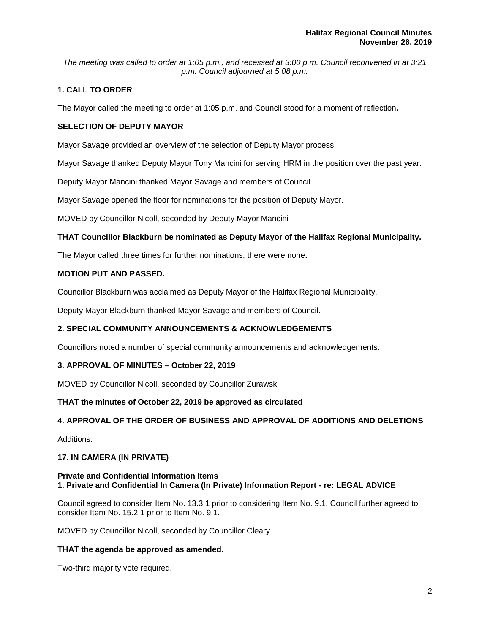*The meeting was called to order at 1:05 p.m., and recessed at 3:00 p.m. Council reconvened in at 3:21 p.m. Council adjourned at 5:08 p.m.*

## **1. CALL TO ORDER**

The Mayor called the meeting to order at 1:05 p.m. and Council stood for a moment of reflection**.** 

## **SELECTION OF DEPUTY MAYOR**

Mayor Savage provided an overview of the selection of Deputy Mayor process.

Mayor Savage thanked Deputy Mayor Tony Mancini for serving HRM in the position over the past year.

Deputy Mayor Mancini thanked Mayor Savage and members of Council.

Mayor Savage opened the floor for nominations for the position of Deputy Mayor.

MOVED by Councillor Nicoll, seconded by Deputy Mayor Mancini

## **THAT Councillor Blackburn be nominated as Deputy Mayor of the Halifax Regional Municipality.**

The Mayor called three times for further nominations, there were none**.**

## **MOTION PUT AND PASSED.**

Councillor Blackburn was acclaimed as Deputy Mayor of the Halifax Regional Municipality.

Deputy Mayor Blackburn thanked Mayor Savage and members of Council.

## **2. SPECIAL COMMUNITY ANNOUNCEMENTS & ACKNOWLEDGEMENTS**

Councillors noted a number of special community announcements and acknowledgements.

## **3. APPROVAL OF MINUTES – October 22, 2019**

MOVED by Councillor Nicoll, seconded by Councillor Zurawski

## **THAT the minutes of October 22, 2019 be approved as circulated**

## **4. APPROVAL OF THE ORDER OF BUSINESS AND APPROVAL OF ADDITIONS AND DELETIONS**

Additions:

## **17. IN CAMERA (IN PRIVATE)**

#### **Private and Confidential Information Items 1. Private and Confidential In Camera (In Private) Information Report - re: LEGAL ADVICE**

Council agreed to consider Item No. 13.3.1 prior to considering Item No. 9.1. Council further agreed to consider Item No. 15.2.1 prior to Item No. 9.1.

MOVED by Councillor Nicoll, seconded by Councillor Cleary

## **THAT the agenda be approved as amended.**

Two-third majority vote required.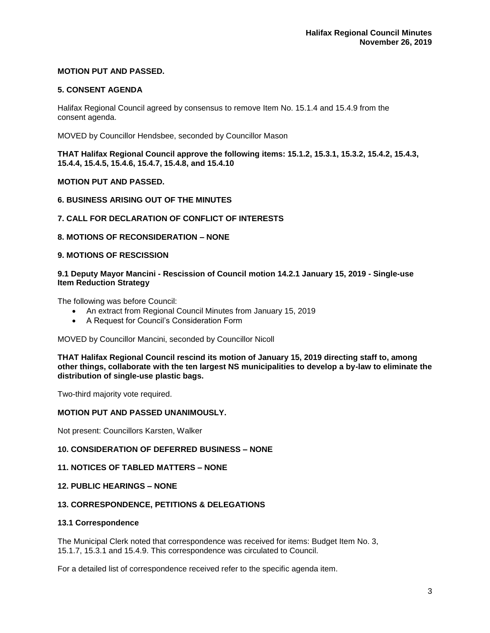## **MOTION PUT AND PASSED.**

## **5. CONSENT AGENDA**

Halifax Regional Council agreed by consensus to remove Item No. 15.1.4 and 15.4.9 from the consent agenda.

MOVED by Councillor Hendsbee, seconded by Councillor Mason

**THAT Halifax Regional Council approve the following items: 15.1.2, 15.3.1, 15.3.2, 15.4.2, 15.4.3, 15.4.4, 15.4.5, 15.4.6, 15.4.7, 15.4.8, and 15.4.10**

## **MOTION PUT AND PASSED.**

**6. BUSINESS ARISING OUT OF THE MINUTES**

## **7. CALL FOR DECLARATION OF CONFLICT OF INTERESTS**

**8. MOTIONS OF RECONSIDERATION – NONE**

## **9. MOTIONS OF RESCISSION**

## **9.1 Deputy Mayor Mancini - Rescission of Council motion 14.2.1 January 15, 2019 - Single-use Item Reduction Strategy**

The following was before Council:

- An extract from Regional Council Minutes from January 15, 2019
- A Request for Council's Consideration Form

MOVED by Councillor Mancini, seconded by Councillor Nicoll

**THAT Halifax Regional Council rescind its motion of January 15, 2019 directing staff to, among other things, collaborate with the ten largest NS municipalities to develop a by-law to eliminate the distribution of single-use plastic bags.**

Two-third majority vote required.

## **MOTION PUT AND PASSED UNANIMOUSLY.**

Not present: Councillors Karsten, Walker

## **10. CONSIDERATION OF DEFERRED BUSINESS – NONE**

## **11. NOTICES OF TABLED MATTERS – NONE**

## **12. PUBLIC HEARINGS – NONE**

## **13. CORRESPONDENCE, PETITIONS & DELEGATIONS**

## **13.1 Correspondence**

The Municipal Clerk noted that correspondence was received for items: Budget Item No. 3, 15.1.7, 15.3.1 and 15.4.9. This correspondence was circulated to Council.

For a detailed list of correspondence received refer to the specific agenda item.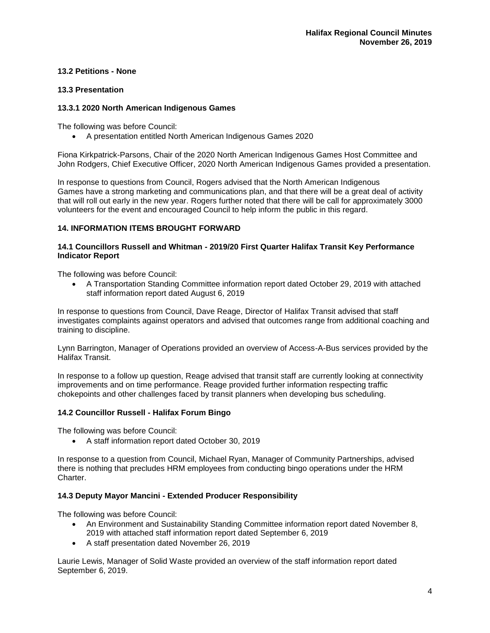## **13.2 Petitions - None**

## **13.3 Presentation**

## **13.3.1 2020 North American Indigenous Games**

The following was before Council:

• A presentation entitled North American Indigenous Games 2020

Fiona Kirkpatrick-Parsons, Chair of the 2020 North American Indigenous Games Host Committee and John Rodgers, Chief Executive Officer, 2020 North American Indigenous Games provided a presentation.

In response to questions from Council, Rogers advised that the North American Indigenous Games have a strong marketing and communications plan, and that there will be a great deal of activity that will roll out early in the new year. Rogers further noted that there will be call for approximately 3000 volunteers for the event and encouraged Council to help inform the public in this regard.

## **14. INFORMATION ITEMS BROUGHT FORWARD**

## **14.1 Councillors Russell and Whitman - 2019/20 First Quarter Halifax Transit Key Performance Indicator Report**

The following was before Council:

• A Transportation Standing Committee information report dated October 29, 2019 with attached staff information report dated August 6, 2019

In response to questions from Council, Dave Reage, Director of Halifax Transit advised that staff investigates complaints against operators and advised that outcomes range from additional coaching and training to discipline.

Lynn Barrington, Manager of Operations provided an overview of Access-A-Bus services provided by the Halifax Transit.

In response to a follow up question, Reage advised that transit staff are currently looking at connectivity improvements and on time performance. Reage provided further information respecting traffic chokepoints and other challenges faced by transit planners when developing bus scheduling.

## **14.2 Councillor Russell - Halifax Forum Bingo**

The following was before Council:

• A staff information report dated October 30, 2019

In response to a question from Council, Michael Ryan, Manager of Community Partnerships, advised there is nothing that precludes HRM employees from conducting bingo operations under the HRM Charter.

## **14.3 Deputy Mayor Mancini - Extended Producer Responsibility**

The following was before Council:

- An Environment and Sustainability Standing Committee information report dated November 8, 2019 with attached staff information report dated September 6, 2019
- A staff presentation dated November 26, 2019

Laurie Lewis, Manager of Solid Waste provided an overview of the staff information report dated September 6, 2019.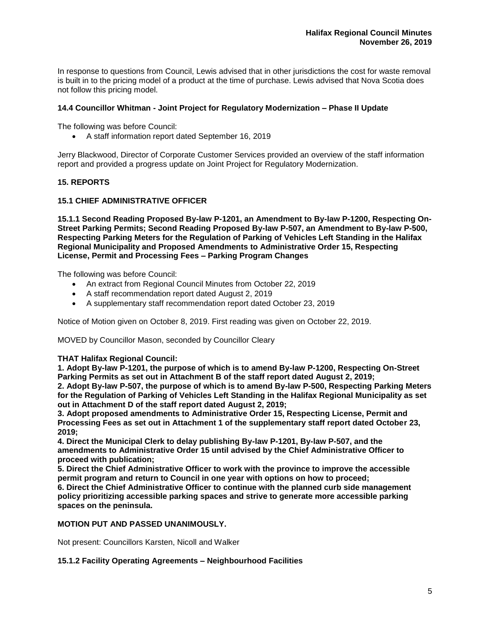In response to questions from Council, Lewis advised that in other jurisdictions the cost for waste removal is built in to the pricing model of a product at the time of purchase. Lewis advised that Nova Scotia does not follow this pricing model.

## **14.4 Councillor Whitman - Joint Project for Regulatory Modernization – Phase II Update**

The following was before Council:

• A staff information report dated September 16, 2019

Jerry Blackwood, Director of Corporate Customer Services provided an overview of the staff information report and provided a progress update on Joint Project for Regulatory Modernization.

## **15. REPORTS**

## **15.1 CHIEF ADMINISTRATIVE OFFICER**

**15.1.1 Second Reading Proposed By-law P-1201, an Amendment to By-law P-1200, Respecting On-Street Parking Permits; Second Reading Proposed By-law P-507, an Amendment to By-law P-500, Respecting Parking Meters for the Regulation of Parking of Vehicles Left Standing in the Halifax Regional Municipality and Proposed Amendments to Administrative Order 15, Respecting License, Permit and Processing Fees – Parking Program Changes**

The following was before Council:

- An extract from Regional Council Minutes from October 22, 2019
- A staff recommendation report dated August 2, 2019
- A supplementary staff recommendation report dated October 23, 2019

Notice of Motion given on October 8, 2019. First reading was given on October 22, 2019.

MOVED by Councillor Mason, seconded by Councillor Cleary

## **THAT Halifax Regional Council:**

**1. Adopt By-law P-1201, the purpose of which is to amend By-law P-1200, Respecting On-Street Parking Permits as set out in Attachment B of the staff report dated August 2, 2019;**

**2. Adopt By-law P-507, the purpose of which is to amend By-law P-500, Respecting Parking Meters for the Regulation of Parking of Vehicles Left Standing in the Halifax Regional Municipality as set out in Attachment D of the staff report dated August 2, 2019;**

**3. Adopt proposed amendments to Administrative Order 15, Respecting License, Permit and Processing Fees as set out in Attachment 1 of the supplementary staff report dated October 23, 2019;**

**4. Direct the Municipal Clerk to delay publishing By-law P-1201, By-law P-507, and the amendments to Administrative Order 15 until advised by the Chief Administrative Officer to proceed with publication;**

**5. Direct the Chief Administrative Officer to work with the province to improve the accessible permit program and return to Council in one year with options on how to proceed;**

**6. Direct the Chief Administrative Officer to continue with the planned curb side management policy prioritizing accessible parking spaces and strive to generate more accessible parking spaces on the peninsula.**

## **MOTION PUT AND PASSED UNANIMOUSLY.**

Not present: Councillors Karsten, Nicoll and Walker

## **15.1.2 Facility Operating Agreements – Neighbourhood Facilities**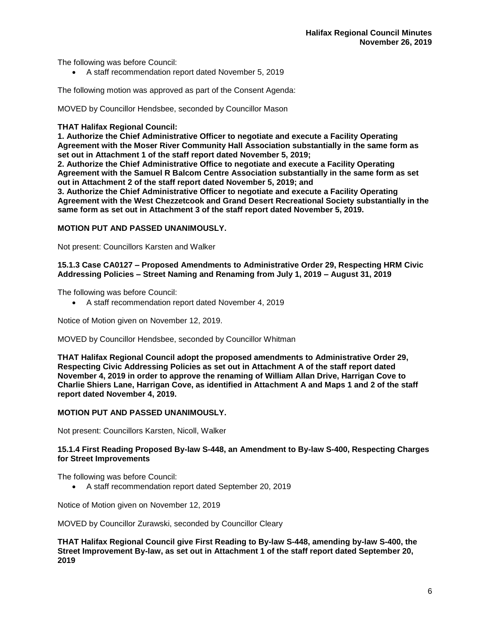The following was before Council:

• A staff recommendation report dated November 5, 2019

The following motion was approved as part of the Consent Agenda:

MOVED by Councillor Hendsbee, seconded by Councillor Mason

## **THAT Halifax Regional Council:**

**1. Authorize the Chief Administrative Officer to negotiate and execute a Facility Operating Agreement with the Moser River Community Hall Association substantially in the same form as set out in Attachment 1 of the staff report dated November 5, 2019;**

**2. Authorize the Chief Administrative Office to negotiate and execute a Facility Operating Agreement with the Samuel R Balcom Centre Association substantially in the same form as set out in Attachment 2 of the staff report dated November 5, 2019; and**

**3. Authorize the Chief Administrative Officer to negotiate and execute a Facility Operating Agreement with the West Chezzetcook and Grand Desert Recreational Society substantially in the same form as set out in Attachment 3 of the staff report dated November 5, 2019.** 

#### **MOTION PUT AND PASSED UNANIMOUSLY.**

Not present: Councillors Karsten and Walker

#### **15.1.3 Case CA0127 – Proposed Amendments to Administrative Order 29, Respecting HRM Civic Addressing Policies – Street Naming and Renaming from July 1, 2019 – August 31, 2019**

The following was before Council:

• A staff recommendation report dated November 4, 2019

Notice of Motion given on November 12, 2019.

MOVED by Councillor Hendsbee, seconded by Councillor Whitman

**THAT Halifax Regional Council adopt the proposed amendments to Administrative Order 29, Respecting Civic Addressing Policies as set out in Attachment A of the staff report dated November 4, 2019 in order to approve the renaming of William Allan Drive, Harrigan Cove to Charlie Shiers Lane, Harrigan Cove, as identified in Attachment A and Maps 1 and 2 of the staff report dated November 4, 2019.**

## **MOTION PUT AND PASSED UNANIMOUSLY.**

Not present: Councillors Karsten, Nicoll, Walker

## **15.1.4 First Reading Proposed By-law S-448, an Amendment to By-law S-400, Respecting Charges for Street Improvements**

The following was before Council:

• A staff recommendation report dated September 20, 2019

Notice of Motion given on November 12, 2019

MOVED by Councillor Zurawski, seconded by Councillor Cleary

**THAT Halifax Regional Council give First Reading to By-law S-448, amending by-law S-400, the Street Improvement By-law, as set out in Attachment 1 of the staff report dated September 20, 2019**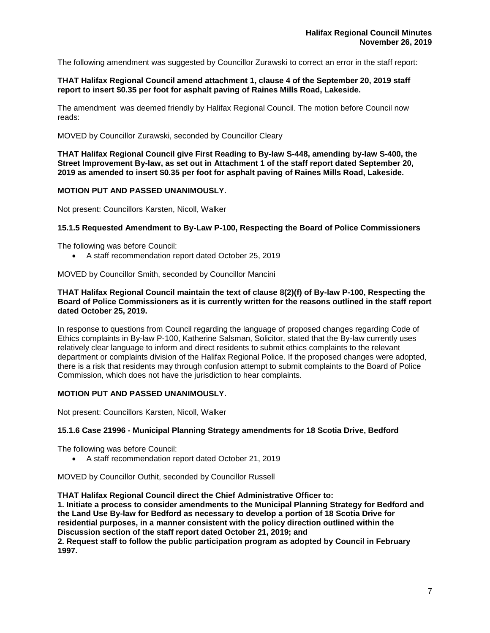The following amendment was suggested by Councillor Zurawski to correct an error in the staff report:

#### **THAT Halifax Regional Council amend attachment 1, clause 4 of the September 20, 2019 staff report to insert \$0.35 per foot for asphalt paving of Raines Mills Road, Lakeside.**

The amendment was deemed friendly by Halifax Regional Council. The motion before Council now reads:

MOVED by Councillor Zurawski, seconded by Councillor Cleary

**THAT Halifax Regional Council give First Reading to By-law S-448, amending by-law S-400, the Street Improvement By-law, as set out in Attachment 1 of the staff report dated September 20, 2019 as amended to insert \$0.35 per foot for asphalt paving of Raines Mills Road, Lakeside.**

## **MOTION PUT AND PASSED UNANIMOUSLY.**

Not present: Councillors Karsten, Nicoll, Walker

## **15.1.5 Requested Amendment to By-Law P-100, Respecting the Board of Police Commissioners**

The following was before Council:

• A staff recommendation report dated October 25, 2019

MOVED by Councillor Smith, seconded by Councillor Mancini

#### **THAT Halifax Regional Council maintain the text of clause 8(2)(f) of By-law P-100, Respecting the Board of Police Commissioners as it is currently written for the reasons outlined in the staff report dated October 25, 2019.**

In response to questions from Council regarding the language of proposed changes regarding Code of Ethics complaints in By-law P-100, Katherine Salsman, Solicitor, stated that the By-law currently uses relatively clear language to inform and direct residents to submit ethics complaints to the relevant department or complaints division of the Halifax Regional Police. If the proposed changes were adopted, there is a risk that residents may through confusion attempt to submit complaints to the Board of Police Commission, which does not have the jurisdiction to hear complaints.

## **MOTION PUT AND PASSED UNANIMOUSLY.**

Not present: Councillors Karsten, Nicoll, Walker

## **15.1.6 Case 21996 - Municipal Planning Strategy amendments for 18 Scotia Drive, Bedford**

The following was before Council:

• A staff recommendation report dated October 21, 2019

MOVED by Councillor Outhit, seconded by Councillor Russell

**THAT Halifax Regional Council direct the Chief Administrative Officer to:**

**1. Initiate a process to consider amendments to the Municipal Planning Strategy for Bedford and the Land Use By-law for Bedford as necessary to develop a portion of 18 Scotia Drive for residential purposes, in a manner consistent with the policy direction outlined within the Discussion section of the staff report dated October 21, 2019; and**

**2. Request staff to follow the public participation program as adopted by Council in February 1997.**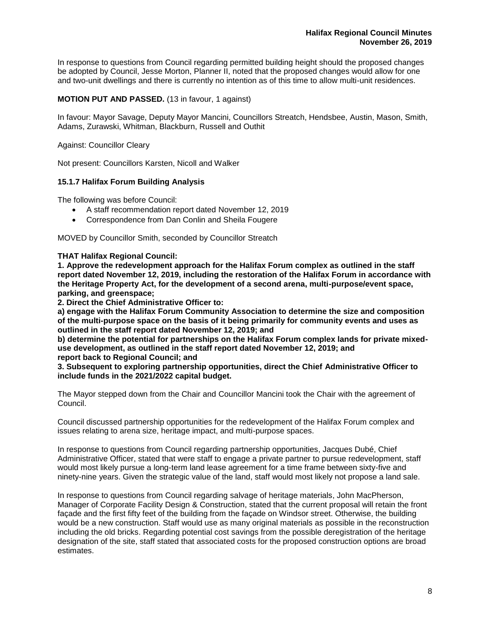In response to questions from Council regarding permitted building height should the proposed changes be adopted by Council, Jesse Morton, Planner II, noted that the proposed changes would allow for one and two-unit dwellings and there is currently no intention as of this time to allow multi-unit residences.

## **MOTION PUT AND PASSED.** (13 in favour, 1 against)

In favour: Mayor Savage, Deputy Mayor Mancini, Councillors Streatch, Hendsbee, Austin, Mason, Smith, Adams, Zurawski, Whitman, Blackburn, Russell and Outhit

Against: Councillor Cleary

Not present: Councillors Karsten, Nicoll and Walker

## **15.1.7 Halifax Forum Building Analysis**

The following was before Council:

- A staff recommendation report dated November 12, 2019
- Correspondence from Dan Conlin and Sheila Fougere

MOVED by Councillor Smith, seconded by Councillor Streatch

#### **THAT Halifax Regional Council:**

**1. Approve the redevelopment approach for the Halifax Forum complex as outlined in the staff report dated November 12, 2019, including the restoration of the Halifax Forum in accordance with the Heritage Property Act, for the development of a second arena, multi-purpose/event space, parking, and greenspace;**

**2. Direct the Chief Administrative Officer to:**

**a) engage with the Halifax Forum Community Association to determine the size and composition of the multi-purpose space on the basis of it being primarily for community events and uses as outlined in the staff report dated November 12, 2019; and**

**b) determine the potential for partnerships on the Halifax Forum complex lands for private mixeduse development, as outlined in the staff report dated November 12, 2019; and report back to Regional Council; and** 

**3. Subsequent to exploring partnership opportunities, direct the Chief Administrative Officer to include funds in the 2021/2022 capital budget.**

The Mayor stepped down from the Chair and Councillor Mancini took the Chair with the agreement of Council.

Council discussed partnership opportunities for the redevelopment of the Halifax Forum complex and issues relating to arena size, heritage impact, and multi-purpose spaces.

In response to questions from Council regarding partnership opportunities, Jacques Dubé, Chief Administrative Officer, stated that were staff to engage a private partner to pursue redevelopment, staff would most likely pursue a long-term land lease agreement for a time frame between sixty-five and ninety-nine years. Given the strategic value of the land, staff would most likely not propose a land sale.

In response to questions from Council regarding salvage of heritage materials, John MacPherson, Manager of Corporate Facility Design & Construction, stated that the current proposal will retain the front façade and the first fifty feet of the building from the façade on Windsor street. Otherwise, the building would be a new construction. Staff would use as many original materials as possible in the reconstruction including the old bricks. Regarding potential cost savings from the possible deregistration of the heritage designation of the site, staff stated that associated costs for the proposed construction options are broad estimates.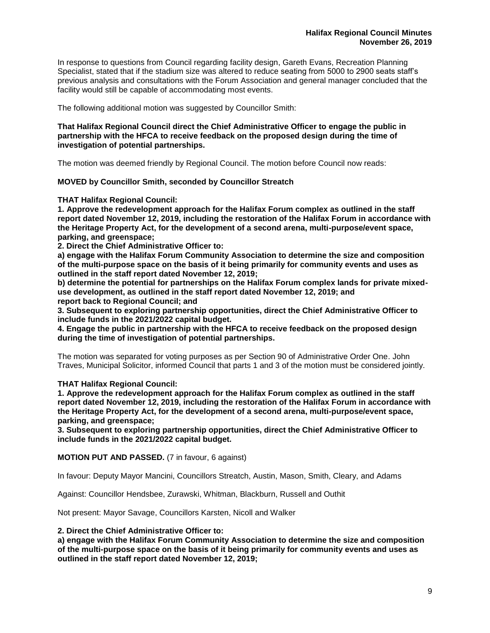In response to questions from Council regarding facility design, Gareth Evans, Recreation Planning Specialist, stated that if the stadium size was altered to reduce seating from 5000 to 2900 seats staff's previous analysis and consultations with the Forum Association and general manager concluded that the facility would still be capable of accommodating most events.

The following additional motion was suggested by Councillor Smith:

#### **That Halifax Regional Council direct the Chief Administrative Officer to engage the public in partnership with the HFCA to receive feedback on the proposed design during the time of investigation of potential partnerships.**

The motion was deemed friendly by Regional Council. The motion before Council now reads:

## **MOVED by Councillor Smith, seconded by Councillor Streatch**

**THAT Halifax Regional Council:**

**1. Approve the redevelopment approach for the Halifax Forum complex as outlined in the staff report dated November 12, 2019, including the restoration of the Halifax Forum in accordance with the Heritage Property Act, for the development of a second arena, multi-purpose/event space, parking, and greenspace;**

**2. Direct the Chief Administrative Officer to:**

**a) engage with the Halifax Forum Community Association to determine the size and composition of the multi-purpose space on the basis of it being primarily for community events and uses as outlined in the staff report dated November 12, 2019;**

**b) determine the potential for partnerships on the Halifax Forum complex lands for private mixeduse development, as outlined in the staff report dated November 12, 2019; and report back to Regional Council; and** 

**3. Subsequent to exploring partnership opportunities, direct the Chief Administrative Officer to include funds in the 2021/2022 capital budget.**

**4. Engage the public in partnership with the HFCA to receive feedback on the proposed design during the time of investigation of potential partnerships.**

The motion was separated for voting purposes as per Section 90 of Administrative Order One. John Traves, Municipal Solicitor, informed Council that parts 1 and 3 of the motion must be considered jointly.

## **THAT Halifax Regional Council:**

**1. Approve the redevelopment approach for the Halifax Forum complex as outlined in the staff report dated November 12, 2019, including the restoration of the Halifax Forum in accordance with the Heritage Property Act, for the development of a second arena, multi-purpose/event space, parking, and greenspace;**

**3. Subsequent to exploring partnership opportunities, direct the Chief Administrative Officer to include funds in the 2021/2022 capital budget.**

**MOTION PUT AND PASSED.** (7 in favour, 6 against)

In favour: Deputy Mayor Mancini, Councillors Streatch, Austin, Mason, Smith, Cleary, and Adams

Against: Councillor Hendsbee, Zurawski, Whitman, Blackburn, Russell and Outhit

Not present: Mayor Savage, Councillors Karsten, Nicoll and Walker

#### **2. Direct the Chief Administrative Officer to:**

**a) engage with the Halifax Forum Community Association to determine the size and composition of the multi-purpose space on the basis of it being primarily for community events and uses as outlined in the staff report dated November 12, 2019;**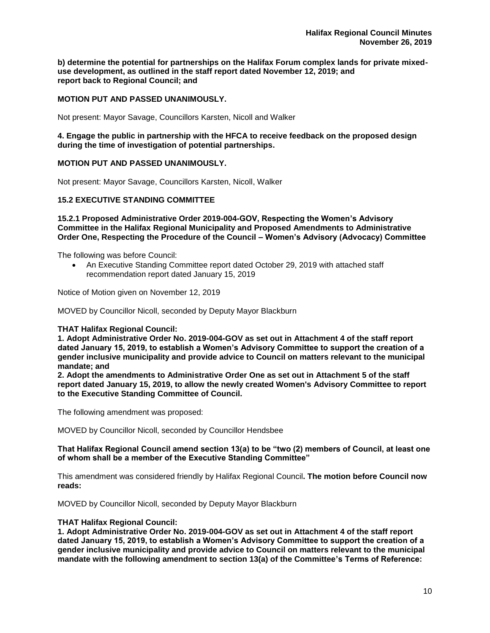**b) determine the potential for partnerships on the Halifax Forum complex lands for private mixeduse development, as outlined in the staff report dated November 12, 2019; and report back to Regional Council; and** 

## **MOTION PUT AND PASSED UNANIMOUSLY.**

Not present: Mayor Savage, Councillors Karsten, Nicoll and Walker

## **4. Engage the public in partnership with the HFCA to receive feedback on the proposed design during the time of investigation of potential partnerships.**

## **MOTION PUT AND PASSED UNANIMOUSLY.**

Not present: Mayor Savage, Councillors Karsten, Nicoll, Walker

## **15.2 EXECUTIVE STANDING COMMITTEE**

**15.2.1 Proposed Administrative Order 2019-004-GOV, Respecting the Women's Advisory Committee in the Halifax Regional Municipality and Proposed Amendments to Administrative Order One, Respecting the Procedure of the Council – Women's Advisory (Advocacy) Committee**

The following was before Council:

• An Executive Standing Committee report dated October 29, 2019 with attached staff recommendation report dated January 15, 2019

Notice of Motion given on November 12, 2019

MOVED by Councillor Nicoll, seconded by Deputy Mayor Blackburn

## **THAT Halifax Regional Council:**

**1. Adopt Administrative Order No. 2019-004-GOV as set out in Attachment 4 of the staff report dated January 15, 2019, to establish a Women's Advisory Committee to support the creation of a gender inclusive municipality and provide advice to Council on matters relevant to the municipal mandate; and** 

**2. Adopt the amendments to Administrative Order One as set out in Attachment 5 of the staff report dated January 15, 2019, to allow the newly created Women's Advisory Committee to report to the Executive Standing Committee of Council.** 

The following amendment was proposed:

MOVED by Councillor Nicoll, seconded by Councillor Hendsbee

**That Halifax Regional Council amend section 13(a) to be "two (2) members of Council, at least one of whom shall be a member of the Executive Standing Committee"**

This amendment was considered friendly by Halifax Regional Council**. The motion before Council now reads:**

MOVED by Councillor Nicoll, seconded by Deputy Mayor Blackburn

## **THAT Halifax Regional Council:**

**1. Adopt Administrative Order No. 2019-004-GOV as set out in Attachment 4 of the staff report dated January 15, 2019, to establish a Women's Advisory Committee to support the creation of a gender inclusive municipality and provide advice to Council on matters relevant to the municipal mandate with the following amendment to section 13(a) of the Committee's Terms of Reference:**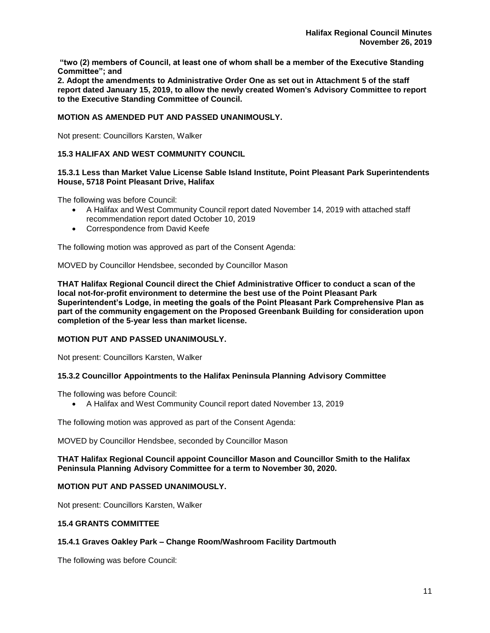**"two (2) members of Council, at least one of whom shall be a member of the Executive Standing Committee"; and** 

**2. Adopt the amendments to Administrative Order One as set out in Attachment 5 of the staff report dated January 15, 2019, to allow the newly created Women's Advisory Committee to report to the Executive Standing Committee of Council.** 

## **MOTION AS AMENDED PUT AND PASSED UNANIMOUSLY.**

Not present: Councillors Karsten, Walker

## **15.3 HALIFAX AND WEST COMMUNITY COUNCIL**

## **15.3.1 Less than Market Value License Sable Island Institute, Point Pleasant Park Superintendents House, 5718 Point Pleasant Drive, Halifax**

The following was before Council:

- A Halifax and West Community Council report dated November 14, 2019 with attached staff recommendation report dated October 10, 2019
- Correspondence from David Keefe

The following motion was approved as part of the Consent Agenda:

MOVED by Councillor Hendsbee, seconded by Councillor Mason

**THAT Halifax Regional Council direct the Chief Administrative Officer to conduct a scan of the local not-for-profit environment to determine the best use of the Point Pleasant Park Superintendent's Lodge, in meeting the goals of the Point Pleasant Park Comprehensive Plan as part of the community engagement on the Proposed Greenbank Building for consideration upon completion of the 5-year less than market license.**

## **MOTION PUT AND PASSED UNANIMOUSLY.**

Not present: Councillors Karsten, Walker

## **15.3.2 Councillor Appointments to the Halifax Peninsula Planning Advisory Committee**

The following was before Council:

• A Halifax and West Community Council report dated November 13, 2019

The following motion was approved as part of the Consent Agenda:

MOVED by Councillor Hendsbee, seconded by Councillor Mason

## **THAT Halifax Regional Council appoint Councillor Mason and Councillor Smith to the Halifax Peninsula Planning Advisory Committee for a term to November 30, 2020.**

## **MOTION PUT AND PASSED UNANIMOUSLY.**

Not present: Councillors Karsten, Walker

## **15.4 GRANTS COMMITTEE**

## **15.4.1 Graves Oakley Park – Change Room/Washroom Facility Dartmouth**

The following was before Council: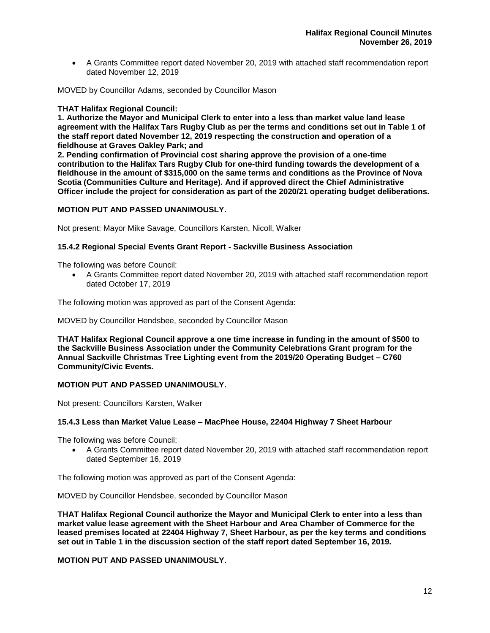• A Grants Committee report dated November 20, 2019 with attached staff recommendation report dated November 12, 2019

MOVED by Councillor Adams, seconded by Councillor Mason

## **THAT Halifax Regional Council:**

**1. Authorize the Mayor and Municipal Clerk to enter into a less than market value land lease agreement with the Halifax Tars Rugby Club as per the terms and conditions set out in Table 1 of the staff report dated November 12, 2019 respecting the construction and operation of a fieldhouse at Graves Oakley Park; and**

**2. Pending confirmation of Provincial cost sharing approve the provision of a one-time contribution to the Halifax Tars Rugby Club for one-third funding towards the development of a fieldhouse in the amount of \$315,000 on the same terms and conditions as the Province of Nova Scotia (Communities Culture and Heritage). And if approved direct the Chief Administrative Officer include the project for consideration as part of the 2020/21 operating budget deliberations.**

#### **MOTION PUT AND PASSED UNANIMOUSLY.**

Not present: Mayor Mike Savage, Councillors Karsten, Nicoll, Walker

## **15.4.2 Regional Special Events Grant Report - Sackville Business Association**

The following was before Council:

• A Grants Committee report dated November 20, 2019 with attached staff recommendation report dated October 17, 2019

The following motion was approved as part of the Consent Agenda:

MOVED by Councillor Hendsbee, seconded by Councillor Mason

**THAT Halifax Regional Council approve a one time increase in funding in the amount of \$500 to the Sackville Business Association under the Community Celebrations Grant program for the Annual Sackville Christmas Tree Lighting event from the 2019/20 Operating Budget – C760 Community/Civic Events.**

## **MOTION PUT AND PASSED UNANIMOUSLY.**

Not present: Councillors Karsten, Walker

## **15.4.3 Less than Market Value Lease – MacPhee House, 22404 Highway 7 Sheet Harbour**

The following was before Council:

• A Grants Committee report dated November 20, 2019 with attached staff recommendation report dated September 16, 2019

The following motion was approved as part of the Consent Agenda:

MOVED by Councillor Hendsbee, seconded by Councillor Mason

**THAT Halifax Regional Council authorize the Mayor and Municipal Clerk to enter into a less than market value lease agreement with the Sheet Harbour and Area Chamber of Commerce for the leased premises located at 22404 Highway 7, Sheet Harbour, as per the key terms and conditions set out in Table 1 in the discussion section of the staff report dated September 16, 2019.** 

## **MOTION PUT AND PASSED UNANIMOUSLY.**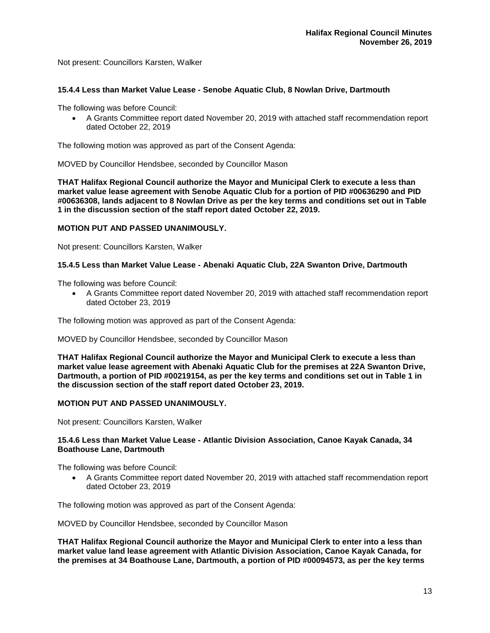Not present: Councillors Karsten, Walker

## **15.4.4 Less than Market Value Lease - Senobe Aquatic Club, 8 Nowlan Drive, Dartmouth**

The following was before Council:

• A Grants Committee report dated November 20, 2019 with attached staff recommendation report dated October 22, 2019

The following motion was approved as part of the Consent Agenda:

MOVED by Councillor Hendsbee, seconded by Councillor Mason

**THAT Halifax Regional Council authorize the Mayor and Municipal Clerk to execute a less than market value lease agreement with Senobe Aquatic Club for a portion of PID #00636290 and PID #00636308, lands adjacent to 8 Nowlan Drive as per the key terms and conditions set out in Table 1 in the discussion section of the staff report dated October 22, 2019.**

## **MOTION PUT AND PASSED UNANIMOUSLY.**

Not present: Councillors Karsten, Walker

## **15.4.5 Less than Market Value Lease - Abenaki Aquatic Club, 22A Swanton Drive, Dartmouth**

The following was before Council:

• A Grants Committee report dated November 20, 2019 with attached staff recommendation report dated October 23, 2019

The following motion was approved as part of the Consent Agenda:

MOVED by Councillor Hendsbee, seconded by Councillor Mason

**THAT Halifax Regional Council authorize the Mayor and Municipal Clerk to execute a less than market value lease agreement with Abenaki Aquatic Club for the premises at 22A Swanton Drive, Dartmouth, a portion of PID #00219154, as per the key terms and conditions set out in Table 1 in the discussion section of the staff report dated October 23, 2019.**

## **MOTION PUT AND PASSED UNANIMOUSLY.**

Not present: Councillors Karsten, Walker

## **15.4.6 Less than Market Value Lease - Atlantic Division Association, Canoe Kayak Canada, 34 Boathouse Lane, Dartmouth**

The following was before Council:

• A Grants Committee report dated November 20, 2019 with attached staff recommendation report dated October 23, 2019

The following motion was approved as part of the Consent Agenda:

MOVED by Councillor Hendsbee, seconded by Councillor Mason

**THAT Halifax Regional Council authorize the Mayor and Municipal Clerk to enter into a less than market value land lease agreement with Atlantic Division Association, Canoe Kayak Canada, for the premises at 34 Boathouse Lane, Dartmouth, a portion of PID #00094573, as per the key terms**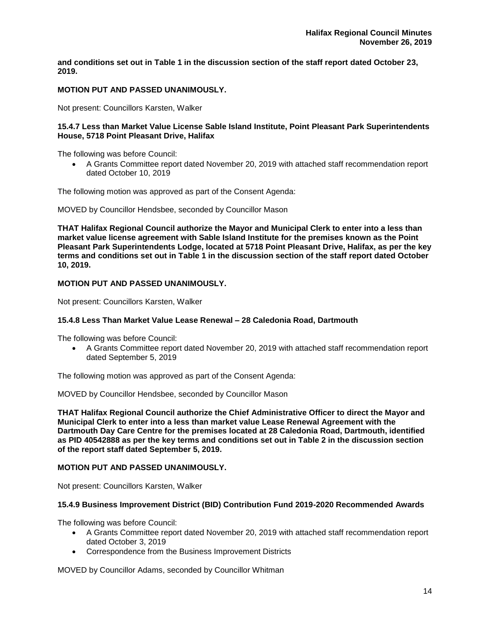**and conditions set out in Table 1 in the discussion section of the staff report dated October 23, 2019.**

## **MOTION PUT AND PASSED UNANIMOUSLY.**

Not present: Councillors Karsten, Walker

#### **15.4.7 Less than Market Value License Sable Island Institute, Point Pleasant Park Superintendents House, 5718 Point Pleasant Drive, Halifax**

The following was before Council:

• A Grants Committee report dated November 20, 2019 with attached staff recommendation report dated October 10, 2019

The following motion was approved as part of the Consent Agenda:

MOVED by Councillor Hendsbee, seconded by Councillor Mason

**THAT Halifax Regional Council authorize the Mayor and Municipal Clerk to enter into a less than market value license agreement with Sable Island Institute for the premises known as the Point Pleasant Park Superintendents Lodge, located at 5718 Point Pleasant Drive, Halifax, as per the key terms and conditions set out in Table 1 in the discussion section of the staff report dated October 10, 2019.**

## **MOTION PUT AND PASSED UNANIMOUSLY.**

Not present: Councillors Karsten, Walker

#### **15.4.8 Less Than Market Value Lease Renewal – 28 Caledonia Road, Dartmouth**

The following was before Council:

• A Grants Committee report dated November 20, 2019 with attached staff recommendation report dated September 5, 2019

The following motion was approved as part of the Consent Agenda:

MOVED by Councillor Hendsbee, seconded by Councillor Mason

**THAT Halifax Regional Council authorize the Chief Administrative Officer to direct the Mayor and Municipal Clerk to enter into a less than market value Lease Renewal Agreement with the Dartmouth Day Care Centre for the premises located at 28 Caledonia Road, Dartmouth, identified as PID 40542888 as per the key terms and conditions set out in Table 2 in the discussion section of the report staff dated September 5, 2019.**

## **MOTION PUT AND PASSED UNANIMOUSLY.**

Not present: Councillors Karsten, Walker

#### **15.4.9 Business Improvement District (BID) Contribution Fund 2019-2020 Recommended Awards**

The following was before Council:

- A Grants Committee report dated November 20, 2019 with attached staff recommendation report dated October 3, 2019
- Correspondence from the Business Improvement Districts

MOVED by Councillor Adams, seconded by Councillor Whitman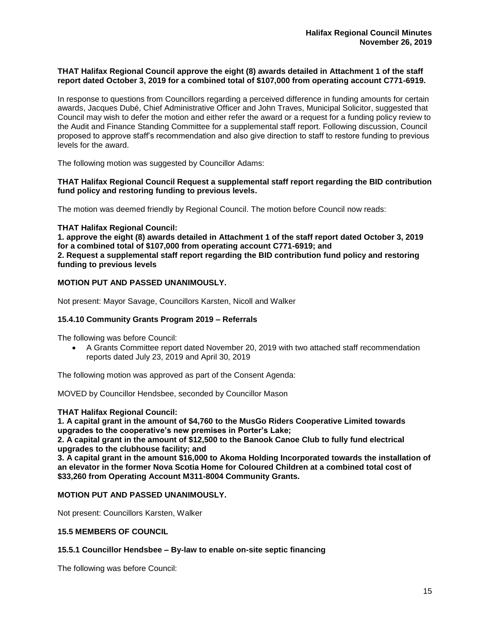#### **THAT Halifax Regional Council approve the eight (8) awards detailed in Attachment 1 of the staff report dated October 3, 2019 for a combined total of \$107,000 from operating account C771-6919.**

In response to questions from Councillors regarding a perceived difference in funding amounts for certain awards, Jacques Dubé, Chief Administrative Officer and John Traves, Municipal Solicitor, suggested that Council may wish to defer the motion and either refer the award or a request for a funding policy review to the Audit and Finance Standing Committee for a supplemental staff report. Following discussion, Council proposed to approve staff's recommendation and also give direction to staff to restore funding to previous levels for the award.

The following motion was suggested by Councillor Adams:

## **THAT Halifax Regional Council Request a supplemental staff report regarding the BID contribution fund policy and restoring funding to previous levels.**

The motion was deemed friendly by Regional Council. The motion before Council now reads:

#### **THAT Halifax Regional Council:**

**1. approve the eight (8) awards detailed in Attachment 1 of the staff report dated October 3, 2019 for a combined total of \$107,000 from operating account C771-6919; and 2. Request a supplemental staff report regarding the BID contribution fund policy and restoring funding to previous levels**

## **MOTION PUT AND PASSED UNANIMOUSLY.**

Not present: Mayor Savage, Councillors Karsten, Nicoll and Walker

## **15.4.10 Community Grants Program 2019 – Referrals**

The following was before Council:

• A Grants Committee report dated November 20, 2019 with two attached staff recommendation reports dated July 23, 2019 and April 30, 2019

The following motion was approved as part of the Consent Agenda:

MOVED by Councillor Hendsbee, seconded by Councillor Mason

**THAT Halifax Regional Council:** 

**1. A capital grant in the amount of \$4,760 to the MusGo Riders Cooperative Limited towards upgrades to the cooperative's new premises in Porter's Lake;** 

**2. A capital grant in the amount of \$12,500 to the Banook Canoe Club to fully fund electrical upgrades to the clubhouse facility; and** 

**3. A capital grant in the amount \$16,000 to Akoma Holding Incorporated towards the installation of an elevator in the former Nova Scotia Home for Coloured Children at a combined total cost of \$33,260 from Operating Account M311-8004 Community Grants.** 

## **MOTION PUT AND PASSED UNANIMOUSLY.**

Not present: Councillors Karsten, Walker

## **15.5 MEMBERS OF COUNCIL**

## **15.5.1 Councillor Hendsbee – By-law to enable on-site septic financing**

The following was before Council: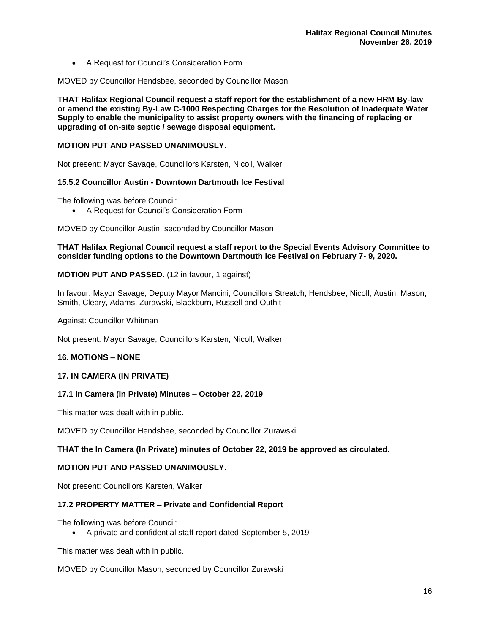• A Request for Council's Consideration Form

MOVED by Councillor Hendsbee, seconded by Councillor Mason

**THAT Halifax Regional Council request a staff report for the establishment of a new HRM By-law or amend the existing By-Law C-1000 Respecting Charges for the Resolution of Inadequate Water Supply to enable the municipality to assist property owners with the financing of replacing or upgrading of on-site septic / sewage disposal equipment.**

## **MOTION PUT AND PASSED UNANIMOUSLY.**

Not present: Mayor Savage, Councillors Karsten, Nicoll, Walker

## **15.5.2 Councillor Austin - Downtown Dartmouth Ice Festival**

The following was before Council:

• A Request for Council's Consideration Form

MOVED by Councillor Austin, seconded by Councillor Mason

**THAT Halifax Regional Council request a staff report to the Special Events Advisory Committee to consider funding options to the Downtown Dartmouth Ice Festival on February 7- 9, 2020.**

## **MOTION PUT AND PASSED.** (12 in favour, 1 against)

In favour: Mayor Savage, Deputy Mayor Mancini, Councillors Streatch, Hendsbee, Nicoll, Austin, Mason, Smith, Cleary, Adams, Zurawski, Blackburn, Russell and Outhit

Against: Councillor Whitman

Not present: Mayor Savage, Councillors Karsten, Nicoll, Walker

## **16. MOTIONS – NONE**

## **17. IN CAMERA (IN PRIVATE)**

## **17.1 In Camera (In Private) Minutes – October 22, 2019**

This matter was dealt with in public.

MOVED by Councillor Hendsbee, seconded by Councillor Zurawski

## **THAT the In Camera (In Private) minutes of October 22, 2019 be approved as circulated.**

## **MOTION PUT AND PASSED UNANIMOUSLY.**

Not present: Councillors Karsten, Walker

## **17.2 PROPERTY MATTER – Private and Confidential Report**

The following was before Council:

• A private and confidential staff report dated September 5, 2019

This matter was dealt with in public.

MOVED by Councillor Mason, seconded by Councillor Zurawski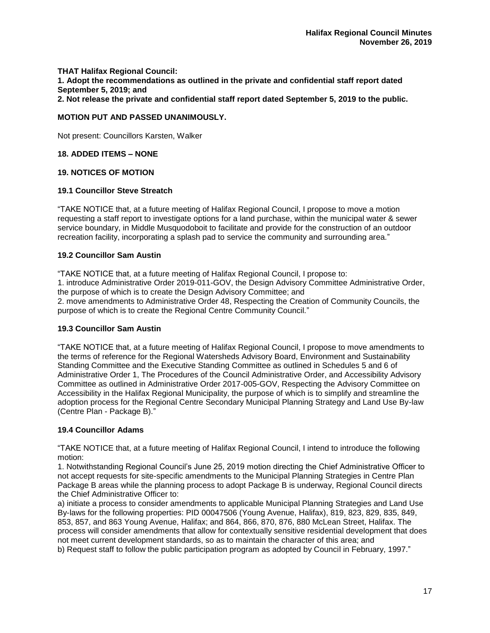**THAT Halifax Regional Council:**

**1. Adopt the recommendations as outlined in the private and confidential staff report dated September 5, 2019; and**

**2. Not release the private and confidential staff report dated September 5, 2019 to the public.**

## **MOTION PUT AND PASSED UNANIMOUSLY.**

Not present: Councillors Karsten, Walker

## **18. ADDED ITEMS – NONE**

## **19. NOTICES OF MOTION**

## **19.1 Councillor Steve Streatch**

"TAKE NOTICE that, at a future meeting of Halifax Regional Council, I propose to move a motion requesting a staff report to investigate options for a land purchase, within the municipal water & sewer service boundary, in Middle Musquodoboit to facilitate and provide for the construction of an outdoor recreation facility, incorporating a splash pad to service the community and surrounding area."

## **19.2 Councillor Sam Austin**

"TAKE NOTICE that, at a future meeting of Halifax Regional Council, I propose to: 1. introduce Administrative Order 2019-011-GOV, the Design Advisory Committee Administrative Order, the purpose of which is to create the Design Advisory Committee; and 2. move amendments to Administrative Order 48, Respecting the Creation of Community Councils, the purpose of which is to create the Regional Centre Community Council."

## **19.3 Councillor Sam Austin**

"TAKE NOTICE that, at a future meeting of Halifax Regional Council, I propose to move amendments to the terms of reference for the Regional Watersheds Advisory Board, Environment and Sustainability Standing Committee and the Executive Standing Committee as outlined in Schedules 5 and 6 of Administrative Order 1, The Procedures of the Council Administrative Order, and Accessibility Advisory Committee as outlined in Administrative Order 2017-005-GOV, Respecting the Advisory Committee on Accessibility in the Halifax Regional Municipality, the purpose of which is to simplify and streamline the adoption process for the Regional Centre Secondary Municipal Planning Strategy and Land Use By-law (Centre Plan - Package B)."

## **19.4 Councillor Adams**

"TAKE NOTICE that, at a future meeting of Halifax Regional Council, I intend to introduce the following motion:

1. Notwithstanding Regional Council's June 25, 2019 motion directing the Chief Administrative Officer to not accept requests for site-specific amendments to the Municipal Planning Strategies in Centre Plan Package B areas while the planning process to adopt Package B is underway, Regional Council directs the Chief Administrative Officer to:

a) initiate a process to consider amendments to applicable Municipal Planning Strategies and Land Use By-laws for the following properties: PID 00047506 (Young Avenue, Halifax), 819, 823, 829, 835, 849, 853, 857, and 863 Young Avenue, Halifax; and 864, 866, 870, 876, 880 McLean Street, Halifax. The process will consider amendments that allow for contextually sensitive residential development that does not meet current development standards, so as to maintain the character of this area; and b) Request staff to follow the public participation program as adopted by Council in February, 1997."